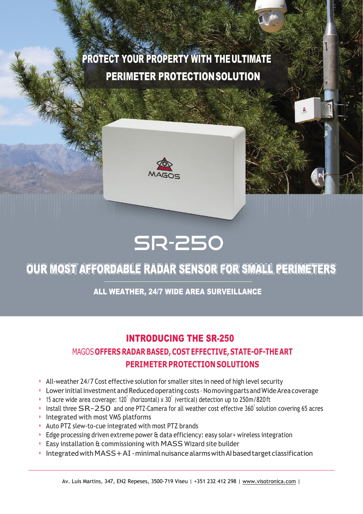# PROTECT YOUR PROPERTY WITH THE ULTIMATE PERIMETER PROTECTIONSOLUTION



# **SR-250**

## OUR MOST AFFORDABLE RADAR SENSOR FOR SMALL PERIMETERS

#### ALL WEATHER, 24/7 WIDE AREA SURVEILLANCE

#### INTRODUCING THE SR-250

### MAGOS**OFFERS RADAR BASED, COST EFFECTIVE, STATE-OF-THE ART PERIMETER PROTECTION SOLUTIONS**

- All-weather 24/7 Cost effective solution for smaller sites in need of high level security
- Lower initial investment and Reduced operating costs No moving parts and Wide Area coverage
- 15 acre wide area coverage: 120˚ (horizontal) x 30˚ (vertical) detection up to 250m/820 ft
- Install three SR-250 and one PTZ-Camera for all weather cost effective <sup>360</sup>˚ solution covering <sup>65</sup> acres
- Integrated with most VMS platforms
- Auto PTZ slew-to-cue integrated with most PTZ brands
- Edge processing driven extreme power & data efficiency: easy solar+ wireless integration
- Easy installation & commissioning with MASS Wizard site builder
- IntegratedwithMASS+AI -minimalnuisancealarmswithAIbasedtargetclassification